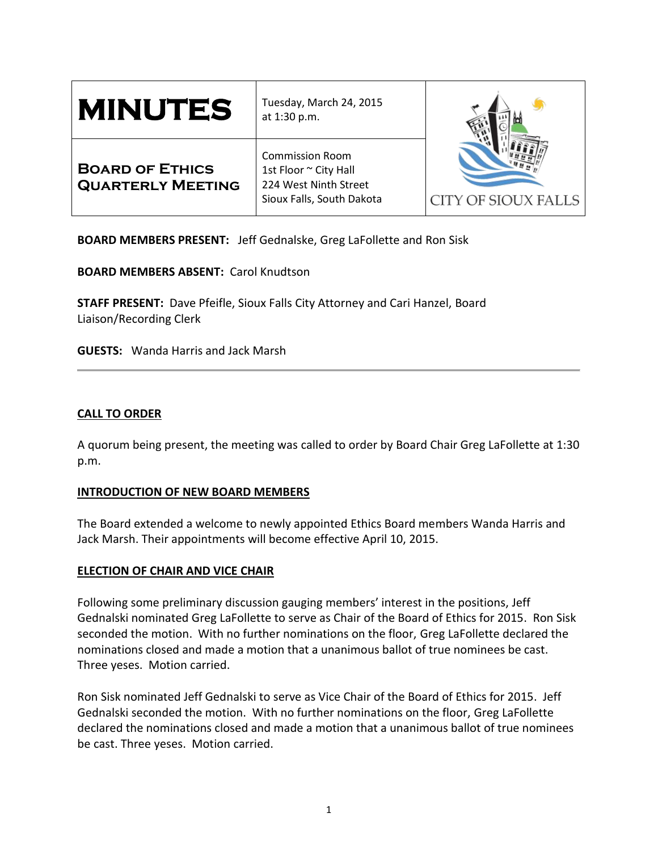| <b>MINUTES</b>                                     | Tuesday, March 24, 2015<br>at 1:30 p.m.                                                               | <b>CITY OF SIOUX FALLS</b> |
|----------------------------------------------------|-------------------------------------------------------------------------------------------------------|----------------------------|
| <b>BOARD OF ETHICS</b><br><b>QUARTERLY MEETING</b> | <b>Commission Room</b><br>1st Floor ~ City Hall<br>224 West Ninth Street<br>Sioux Falls, South Dakota |                            |

**BOARD MEMBERS PRESENT:** Jeff Gednalske, Greg LaFollette and Ron Sisk

**BOARD MEMBERS ABSENT:** Carol Knudtson

**STAFF PRESENT:** Dave Pfeifle, Sioux Falls City Attorney and Cari Hanzel, Board Liaison/Recording Clerk

**GUESTS:** Wanda Harris and Jack Marsh

# **CALL TO ORDER**

A quorum being present, the meeting was called to order by Board Chair Greg LaFollette at 1:30 p.m.

# **INTRODUCTION OF NEW BOARD MEMBERS**

The Board extended a welcome to newly appointed Ethics Board members Wanda Harris and Jack Marsh. Their appointments will become effective April 10, 2015.

# **ELECTION OF CHAIR AND VICE CHAIR**

Following some preliminary discussion gauging members' interest in the positions, Jeff Gednalski nominated Greg LaFollette to serve as Chair of the Board of Ethics for 2015. Ron Sisk seconded the motion. With no further nominations on the floor, Greg LaFollette declared the nominations closed and made a motion that a unanimous ballot of true nominees be cast. Three yeses. Motion carried.

Ron Sisk nominated Jeff Gednalski to serve as Vice Chair of the Board of Ethics for 2015. Jeff Gednalski seconded the motion. With no further nominations on the floor, Greg LaFollette declared the nominations closed and made a motion that a unanimous ballot of true nominees be cast. Three yeses. Motion carried.